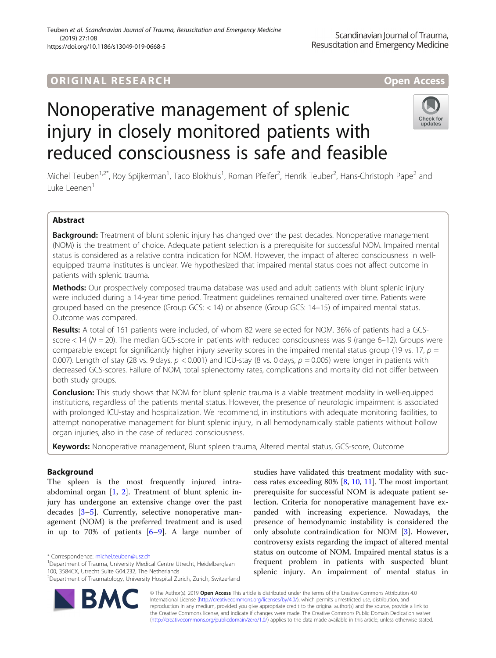## ORIGINA L R E S EA RCH Open Access

# Nonoperative management of splenic injury in closely monitored patients with reduced consciousness is safe and feasible



Michel Teuben<sup>1,2\*</sup>, Roy Spijkerman<sup>1</sup>, Taco Blokhuis<sup>1</sup>, Roman Pfeifer<sup>2</sup>, Henrik Teuber<sup>2</sup>, Hans-Christoph Pape<sup>2</sup> and Luke Leenen<sup>1</sup>

### Abstract

Background: Treatment of blunt splenic injury has changed over the past decades. Nonoperative management (NOM) is the treatment of choice. Adequate patient selection is a prerequisite for successful NOM. Impaired mental status is considered as a relative contra indication for NOM. However, the impact of altered consciousness in wellequipped trauma institutes is unclear. We hypothesized that impaired mental status does not affect outcome in patients with splenic trauma.

Methods: Our prospectively composed trauma database was used and adult patients with blunt splenic injury were included during a 14-year time period. Treatment guidelines remained unaltered over time. Patients were grouped based on the presence (Group GCS: < 14) or absence (Group GCS: 14–15) of impaired mental status. Outcome was compared.

Results: A total of 161 patients were included, of whom 82 were selected for NOM. 36% of patients had a GCSscore < 14 (N = 20). The median GCS-score in patients with reduced consciousness was 9 (range 6–12). Groups were comparable except for significantly higher injury severity scores in the impaired mental status group (19 vs. 17,  $p =$ 0.007). Length of stay (28 vs. 9 days,  $p < 0.001$ ) and ICU-stay (8 vs. 0 days,  $p = 0.005$ ) were longer in patients with decreased GCS-scores. Failure of NOM, total splenectomy rates, complications and mortality did not differ between both study groups.

**Conclusion:** This study shows that NOM for blunt splenic trauma is a viable treatment modality in well-equipped institutions, regardless of the patients mental status. However, the presence of neurologic impairment is associated with prolonged ICU-stay and hospitalization. We recommend, in institutions with adequate monitoring facilities, to attempt nonoperative management for blunt splenic injury, in all hemodynamically stable patients without hollow organ injuries, also in the case of reduced consciousness.

Keywords: Nonoperative management, Blunt spleen trauma, Altered mental status, GCS-score, Outcome

### Background

The spleen is the most frequently injured intraabdominal organ [[1,](#page-5-0) [2\]](#page-5-0). Treatment of blunt splenic injury has undergone an extensive change over the past decades [\[3](#page-5-0)–[5\]](#page-5-0). Currently, selective nonoperative management (NOM) is the preferred treatment and is used in up to 70% of patients  $[6-9]$  $[6-9]$  $[6-9]$  $[6-9]$ . A large number of

<sup>&</sup>lt;sup>2</sup>Department of Traumatology, University Hospital Zurich, Zurich, Switzerland



studies have validated this treatment modality with success rates exceeding 80% [\[8](#page-5-0), [10](#page-5-0), [11](#page-5-0)]. The most important prerequisite for successful NOM is adequate patient selection. Criteria for nonoperative management have expanded with increasing experience. Nowadays, the presence of hemodynamic instability is considered the only absolute contraindication for NOM [\[3\]](#page-5-0). However, controversy exists regarding the impact of altered mental status on outcome of NOM. Impaired mental status is a frequent problem in patients with suspected blunt splenic injury. An impairment of mental status in

© The Author(s). 2019 Open Access This article is distributed under the terms of the Creative Commons Attribution 4.0 International License [\(http://creativecommons.org/licenses/by/4.0/](http://creativecommons.org/licenses/by/4.0/)), which permits unrestricted use, distribution, and reproduction in any medium, provided you give appropriate credit to the original author(s) and the source, provide a link to the Creative Commons license, and indicate if changes were made. The Creative Commons Public Domain Dedication waiver [\(http://creativecommons.org/publicdomain/zero/1.0/](http://creativecommons.org/publicdomain/zero/1.0/)) applies to the data made available in this article, unless otherwise stated.

<sup>\*</sup> Correspondence: [michel.teuben@usz.ch](mailto:michel.teuben@usz.ch) <sup>1</sup>

<sup>&</sup>lt;sup>1</sup>Department of Trauma, University Medical Centre Utrecht, Heidelberglaan 100, 3584CX, Utrecht Suite G04.232, The Netherlands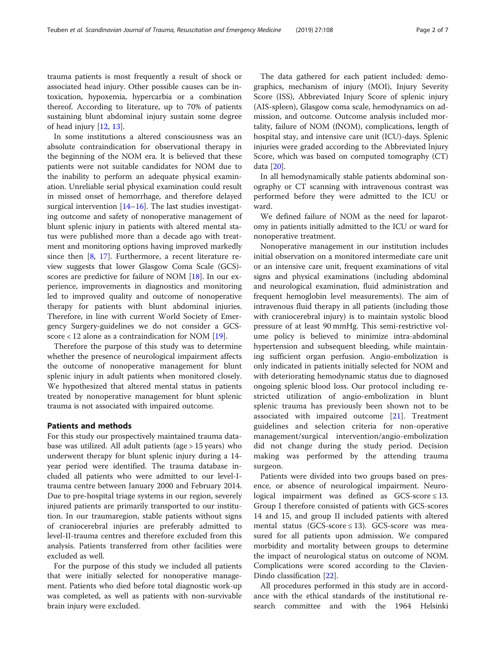trauma patients is most frequently a result of shock or associated head injury. Other possible causes can be intoxication, hypoxemia, hypercarbia or a combination thereof. According to Iiterature, up to 70% of patients sustaining blunt abdominal injury sustain some degree of head injury [[12,](#page-5-0) [13\]](#page-5-0).

In some institutions a altered consciousness was an absolute contraindication for observational therapy in the beginning of the NOM era. lt is believed that these patients were not suitable candidates for NOM due to the inability to perform an adequate physical examination. Unreliable serial physical examination could result in missed onset of hemorrhage, and therefore delayed surgical intervention [\[14](#page-5-0)–[16\]](#page-5-0). The last studies investigating outcome and safety of nonoperative management of blunt splenic injury in patients with altered mental status were published more than a decade ago with treatment and monitoring options having improved markedly since then  $[8, 17]$  $[8, 17]$  $[8, 17]$  $[8, 17]$  $[8, 17]$ . Furthermore, a recent literature review suggests that lower Glasgow Coma Scale (GCS) scores are predictive for failure of NOM [\[18\]](#page-5-0). In our experience, improvements in diagnostics and monitoring led to improved quality and outcome of nonoperative therapy for patients with blunt abdominal injuries. Therefore, in line with current World Society of Emergency Surgery-guidelines we do not consider a GCS-score < 12 alone as a contraindication for NOM [\[19\]](#page-6-0).

Therefore the purpose of this study was to determine whether the presence of neurological impairment affects the outcome of nonoperative management for blunt splenic injury in adult patients when monitored closely. We hypothesized that altered mental status in patients treated by nonoperative management for blunt splenic trauma is not associated with impaired outcome.

#### Patients and methods

For this study our prospectively maintained trauma database was utilized. All adult patients (age > 15 years) who underwent therapy for blunt splenic injury during a 14 year period were identified. The trauma database included all patients who were admitted to our level-Itrauma centre between January 2000 and February 2014. Due to pre-hospital triage systems in our region, severely injured patients are primarily transported to our institution. In our traumaregion, stable patients without signs of craniocerebral injuries are preferably admitted to level-II-trauma centres and therefore excluded from this analysis. Patients transferred from other facilities were excluded as well.

For the purpose of this study we included all patients that were initially selected for nonoperative management. Patients who died before total diagnostic work-up was completed, as well as patients with non-survivable brain injury were excluded.

The data gathered for each patient included: demographics, mechanism of injury (MOI), Injury Severity Score (ISS), Abbreviated Injury Score of splenic injury (AIS-spleen), Glasgow coma scale, hemodynamics on admission, and outcome. Outcome analysis included mortality, failure of NOM (fNOM), complications, length of hospital stay, and intensive care unit (ICU)-days. Splenic injuries were graded according to the Abbreviated lnjury Score, which was based on computed tomography (CT) data [\[20\]](#page-6-0).

In all hemodynamically stable patients abdominal sonography or CT scanning with intravenous contrast was performed before they were admitted to the ICU or ward.

We defined failure of NOM as the need for laparotomy in patients initially admitted to the ICU or ward for nonoperative treatment.

Nonoperative management in our institution includes initial observation on a monitored intermediate care unit or an intensive care unit, frequent examinations of vital signs and physical examinations (including abdominal and neurological examination, fluid administration and frequent hemoglobin level measurements). The aim of intravenous fluid therapy in all patients (including those with craniocerebral injury) is to maintain systolic blood pressure of at least 90 mmHg. This semi-restrictive volume policy is believed to minimize intra-abdominal hypertension and subsequent bleeding, while maintaining sufficient organ perfusion. Angio-embolization is only indicated in patients initially selected for NOM and with deteriorating hemodynamic status due to diagnosed ongoing splenic blood loss. Our protocol including restricted utilization of angio-embolization in blunt splenic trauma has previously been shown not to be associated with impaired outcome [[21](#page-6-0)]. Treatment guidelines and selection criteria for non-operative management/surgical intervention/angio-embolization did not change during the study period. Decision making was performed by the attending trauma surgeon.

Patients were divided into two groups based on presence, or absence of neurological impairment. Neurological impairment was defined as  $GCS-score \leq 13$ . Group I therefore consisted of patients with GCS-scores 14 and 15, and group II included patients with altered mental status (GCS-score ≤ 13). GCS-score was measured for all patients upon admission. We compared morbidity and mortality between groups to determine the impact of neurological status on outcome of NOM. Complications were scored according to the Clavien-Dindo classification [\[22\]](#page-6-0).

All procedures performed in this study are in accordance with the ethical standards of the institutional research committee and with the 1964 Helsinki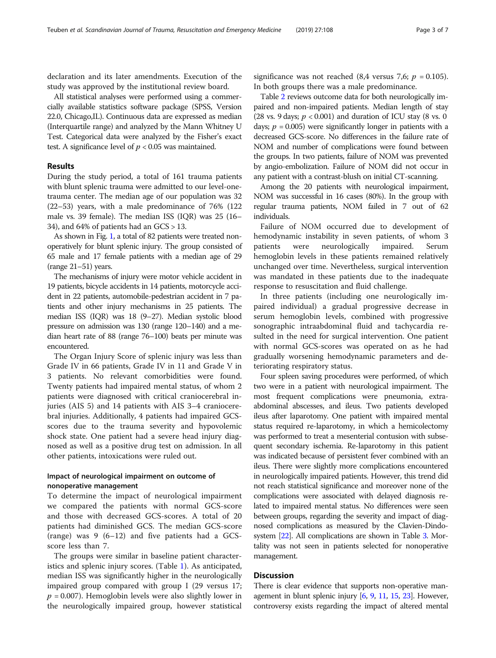declaration and its later amendments. Execution of the study was approved by the institutional review board.

All statistical analyses were performed using a commercially available statistics software package (SPSS, Version 22.0, Chicago,IL). Continuous data are expressed as median (Interquartile range) and analyzed by the Mann Whitney U Test. Categorical data were analyzed by the Fisher's exact test. A significance Ievel of  $p < 0.05$  was maintained.

#### Results

During the study period, a total of 161 trauma patients with blunt splenic trauma were admitted to our level-onetrauma center. The median age of our population was 32 (22–53) years, with a male predominance of 76% (122 male vs. 39 female). The median ISS (IQR) was 25 (16– 34), and 64% of patients had an GCS > 13.

As shown in Fig. [1](#page-3-0), a total of 82 patients were treated nonoperatively for blunt splenic injury. The group consisted of 65 male and 17 female patients with a median age of 29 (range 21–51) years.

The mechanisms of injury were motor vehicle accident in 19 patients, bicycle accidents in 14 patients, motorcycle accident in 22 patients, automobile-pedestrian accident in 7 patients and other injury mechanisms in 25 patients. The median ISS (IQR) was 18 (9–27). Median systolic blood pressure on admission was 130 (range 120–140) and a median heart rate of 88 (range 76–100) beats per minute was encountered.

The Organ Injury Score of splenic injury was less than Grade IV in 66 patients, Grade IV in 11 and Grade V in 3 patients. No relevant comorbidities were found. Twenty patients had impaired mental status, of whom 2 patients were diagnosed with critical craniocerebral injuries (AIS 5) and 14 patients with AIS 3–4 craniocerebral injuries. Additionally, 4 patients had impaired GCSscores due to the trauma severity and hypovolemic shock state. One patient had a severe head injury diagnosed as well as a positive drug test on admission. In all other patients, intoxications were ruled out.

#### Impact of neurological impairment on outcome of nonoperative management

To determine the impact of neurological impairment we compared the patients with normal GCS-score and those with decreased GCS-scores. A total of 20 patients had diminished GCS. The median GCS-score (range) was 9 (6–12) and five patients had a GCSscore less than 7.

The groups were similar in baseline patient characteristics and splenic injury scores. (Table [1](#page-3-0)). As anticipated, median ISS was significantly higher in the neurologically impaired group compared with group I (29 versus 17;  $p = 0.007$ ). Hemoglobin levels were also slightly lower in the neurologically impaired group, however statistical

significance was not reached (8,4 versus 7,6;  $p = 0.105$ ). In both groups there was a male predominance.

Table [2](#page-4-0) reviews outcome data for both neurologically impaired and non-impaired patients. Median length of stay (28 vs. 9 days;  $p < 0.001$ ) and duration of ICU stay (8 vs. 0 days;  $p = 0.005$ ) were significantly longer in patients with a decreased GCS-score. No differences in the failure rate of NOM and number of complications were found between the groups. In two patients, failure of NOM was prevented by angio-embolization. Failure of NOM did not occur in any patient with a contrast-blush on initial CT-scanning.

Among the 20 patients with neurological impairment, NOM was successful in 16 cases (80%). In the group with regular trauma patients, NOM failed in 7 out of 62 individuals.

Failure of NOM occurred due to development of hemodynamic instability in seven patients, of whom 3 patients were neurologically impaired. Serum hemoglobin levels in these patients remained relatively unchanged over time. Nevertheless, surgical intervention was mandated in these patients due to the inadequate response to resuscitation and fluid challenge.

In three patients (including one neurologically impaired individual) a gradual progressive decrease in serum hemoglobin levels, combined with progressive sonographic intraabdominal fluid and tachycardia resulted in the need for surgical intervention. One patient with normal GCS-scores was operated on as he had gradually worsening hemodynamic parameters and deteriorating respiratory status.

Four spleen saving procedures were performed, of which two were in a patient with neurological impairment. The most frequent complications were pneumonia, extraabdominal abscesses, and ileus. Two patients developed ileus after laparotomy. One patient with impaired mental status required re-laparotomy, in which a hemicolectomy was performed to treat a mesenterial contusion with subsequent secondary ischemia. Re-laparotomy in this patient was indicated because of persistent fever combined with an ileus. There were slightly more complications encountered in neurologically impaired patients. However, this trend did not reach statistical significance and moreover none of the complications were associated with delayed diagnosis related to impaired mental status. No differences were seen between groups, regarding the severity and impact of diagnosed complications as measured by the Clavien-Dindosystem [[22\]](#page-6-0). All complications are shown in Table [3](#page-4-0). Mortality was not seen in patients selected for nonoperative management.

#### Discussion

There is clear evidence that supports non-operative management in blunt splenic injury [[6,](#page-5-0) [9](#page-5-0), [11,](#page-5-0) [15,](#page-5-0) [23](#page-6-0)]. However, controversy exists regarding the impact of altered mental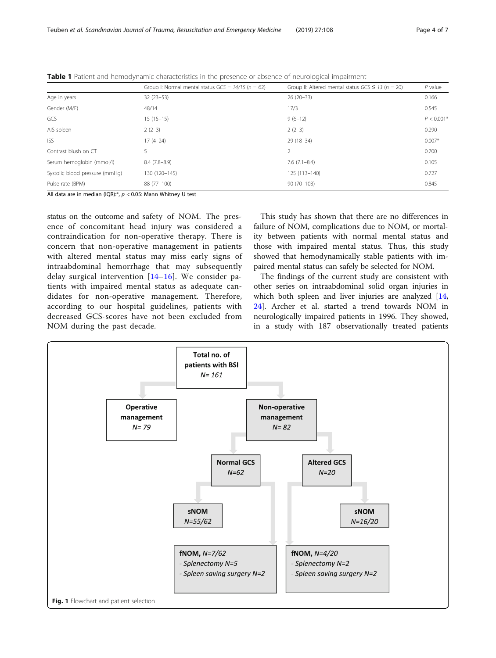| Group I: Normal mental status $GCS = 14/15$ (n = 62) | Group II: Altered mental status $GCS \leq 13$ (n = 20) | $P$ value    |
|------------------------------------------------------|--------------------------------------------------------|--------------|
| $32(23-53)$                                          | $26(20-33)$                                            | 0.166        |
| 48/14                                                | 17/3                                                   | 0.545        |
| $15(15-15)$                                          | $9(6-12)$                                              | $P < 0.001*$ |
| $2(2-3)$                                             | $2(2-3)$                                               | 0.290        |
| $17(4-24)$                                           | 29 (18-34)                                             | $0.007*$     |
| 5                                                    |                                                        | 0.700        |
| $8.4(7.8-8.9)$                                       | $7.6(7.1 - 8.4)$                                       | 0.105        |
| 130 (120-145)                                        | 125 (113-140)                                          | 0.727        |
| 88 (77-100)                                          | $90(70-103)$                                           | 0.845        |
|                                                      |                                                        |              |

<span id="page-3-0"></span>Table 1 Patient and hemodynamic characteristics in the presence or absence of neurological impairment

All data are in median (IQR):\*,  $p < 0.05$ : Mann Whitney U test

status on the outcome and safety of NOM. The presence of concomitant head injury was considered a contraindication for non-operative therapy. There is concern that non-operative management in patients with altered mental status may miss early signs of intraabdominal hemorrhage that may subsequently delay surgical intervention [\[14](#page-5-0)–[16\]](#page-5-0). We consider patients with impaired mental status as adequate candidates for non-operative management. Therefore, according to our hospital guidelines, patients with decreased GCS-scores have not been excluded from NOM during the past decade.

This study has shown that there are no differences in failure of NOM, complications due to NOM, or mortality between patients with normal mental status and those with impaired mental status. Thus, this study showed that hemodynamically stable patients with impaired mental status can safely be selected for NOM.

The findings of the current study are consistent with other series on intraabdominal solid organ injuries in which both spleen and liver injuries are analyzed [[14](#page-5-0), [24\]](#page-6-0). Archer et al. started a trend towards NOM in neurologically impaired patients in 1996. They showed, in a study with 187 observationally treated patients

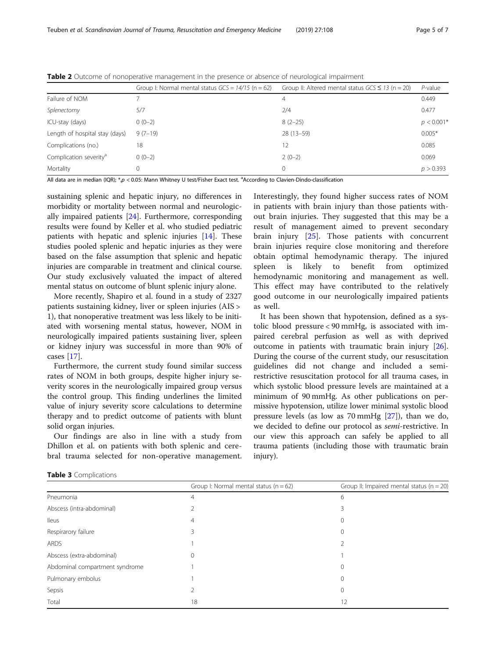|                                    | Group I: Normal mental status $GCS = 14/15$ (n = 62) | Group II: Altered mental status $GCS \le 13$ (n = 20) | $P$ -value   |
|------------------------------------|------------------------------------------------------|-------------------------------------------------------|--------------|
| Failure of NOM                     |                                                      | 4                                                     | 0.449        |
| Splenectomy                        | 5/7                                                  | 2/4                                                   | 0.477        |
| ICU-stay (days)                    | $0(0-2)$                                             | $8(2-25)$                                             | $p < 0.001*$ |
| Length of hospital stay (days)     | $9(7-19)$                                            | $28(13-59)$                                           | $0.005*$     |
| Complications (no.)                | 18                                                   | 12                                                    | 0.085        |
| Complication severity <sup>a</sup> | $0(0-2)$                                             | $2(0-2)$                                              | 0.069        |
| Mortality                          |                                                      | $\Omega$                                              | p > 0.393    |

<span id="page-4-0"></span>Table 2 Outcome of nonoperative management in the presence or absence of neurological impairment

All data are in median (IQR); \*,p < 0.05: Mann Whitney U test/Fisher Exact test. <sup>a</sup>According to Clavien-Dindo-classification

sustaining splenic and hepatic injury, no differences in morbidity or mortality between normal and neurologically impaired patients [\[24](#page-6-0)]. Furthermore, corresponding results were found by Keller et al. who studied pediatric patients with hepatic and splenic injuries [[14](#page-5-0)]. These studies pooled splenic and hepatic injuries as they were based on the false assumption that splenic and hepatic injuries are comparable in treatment and clinical course. Our study exclusively valuated the impact of altered mental status on outcome of blunt splenic injury alone.

More recently, Shapiro et al. found in a study of 2327 patients sustaining kidney, liver or spleen injuries (AIS > 1), that nonoperative treatment was less likely to be initiated with worsening mental status, however, NOM in neurologically impaired patients sustaining liver, spleen or kidney injury was successful in more than 90% of cases [[17](#page-5-0)].

Furthermore, the current study found similar success rates of NOM in both groups, despite higher injury severity scores in the neurologically impaired group versus the control group. This finding underlines the limited value of injury severity score calculations to determine therapy and to predict outcome of patients with blunt solid organ injuries.

Our findings are also in line with a study from Dhillon et al. on patients with both splenic and cerebral trauma selected for non-operative management.

Interestingly, they found higher success rates of NOM in patients with brain injury than those patients without brain injuries. They suggested that this may be a result of management aimed to prevent secondary brain injury [[25\]](#page-6-0). Those patients with concurrent brain injuries require close monitoring and therefore obtain optimal hemodynamic therapy. The injured spleen is likely to benefit from optimized hemodynamic monitoring and management as well. This effect may have contributed to the relatively good outcome in our neurologically impaired patients as well.

It has been shown that hypotension, defined as a systolic blood pressure < 90 mmHg, is associated with impaired cerebral perfusion as well as with deprived outcome in patients with traumatic brain injury [\[26](#page-6-0)]. During the course of the current study, our resuscitation guidelines did not change and included a semirestrictive resuscitation protocol for all trauma cases, in which systolic blood pressure levels are maintained at a minimum of 90 mmHg. As other publications on permissive hypotension, utilize lower minimal systolic blood pressure levels (as low as 70 mmHg [\[27\]](#page-6-0)), than we do, we decided to define our protocol as semi-restrictive. In our view this approach can safely be applied to all trauma patients (including those with traumatic brain injury).

|  | Table 3 Complications |
|--|-----------------------|
|--|-----------------------|

|                                | Group I: Normal mental status ( $n = 62$ ) | Group II: Impaired mental status ( $n = 20$ ) |
|--------------------------------|--------------------------------------------|-----------------------------------------------|
| Pneumonia                      | 4                                          | 6                                             |
| Abscess (intra-abdominal)      |                                            |                                               |
| <b>Ileus</b>                   | 4                                          |                                               |
| Respirarory failure            | 3                                          |                                               |
| <b>ARDS</b>                    |                                            |                                               |
| Abscess (extra-abdominal)      | $\Omega$                                   |                                               |
| Abdominal compartment syndrome |                                            |                                               |
| Pulmonary embolus              |                                            |                                               |
| Sepsis                         |                                            |                                               |
| Total                          | 18                                         | 12                                            |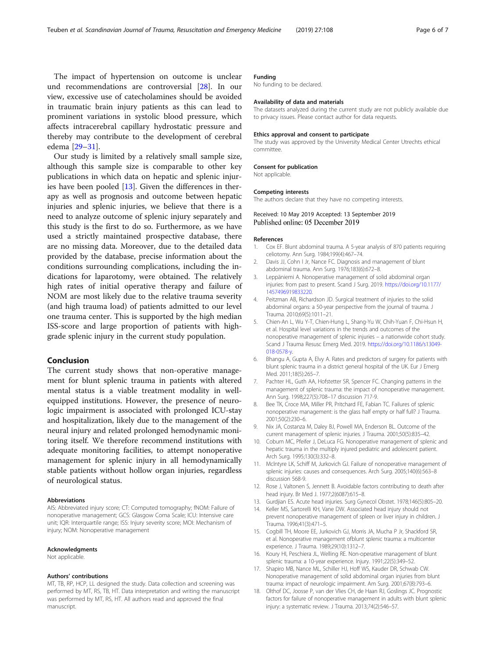<span id="page-5-0"></span>The impact of hypertension on outcome is unclear und recommendations are controversial [[28\]](#page-6-0). In our view, excessive use of catecholamines should be avoided in traumatic brain injury patients as this can lead to prominent variations in systolic blood pressure, which affects intracerebral capillary hydrostatic pressure and thereby may contribute to the development of cerebral edema [\[29](#page-6-0)–[31\]](#page-6-0).

Our study is limited by a relatively small sample size, although this sample size is comparable to other key publications in which data on hepatic and splenic injuries have been pooled [13]. Given the differences in therapy as well as prognosis and outcome between hepatic injuries and splenic injuries, we believe that there is a need to analyze outcome of splenic injury separately and this study is the first to do so. Furthermore, as we have used a strictly maintained prospective database, there are no missing data. Moreover, due to the detailed data provided by the database, precise information about the conditions surrounding complications, including the indications for laparotomy, were obtained. The relatively high rates of initial operative therapy and failure of NOM are most likely due to the relative trauma severity (and high trauma load) of patients admitted to our level one trauma center. This is supported by the high median ISS-score and large proportion of patients with highgrade splenic injury in the current study population.

#### Conclusion

The current study shows that non-operative management for blunt splenic trauma in patients with altered mental status is a viable treatment modality in wellequipped institutions. However, the presence of neurologic impairment is associated with prolonged ICU-stay and hospitalization, likely due to the management of the neural injury and related prolonged hemodynamic monitoring itself. We therefore recommend institutions with adequate monitoring facilities, to attempt nonoperative management for splenic injury in all hemodynamically stable patients without hollow organ injuries, regardless of neurological status.

#### Abbreviations

AIS: Abbreviated injury score; CT: Computed tomography; fNOM: Failure of nonoperative management; GCS: Glasgow Coma Scale; ICU: Intensive care unit; IQR: Interquartile range; ISS: Injury severity score; MOI: Mechanism of injury; NOM: Nonoperative management

#### Acknowledgments

Not applicable.

#### Authors' contributions

MT, TB, RP, HCP, LL designed the study. Data collection and screening was performed by MT, RS, TB, HT. Data interpretation and writing the manuscript was performed by MT, RS, HT. All authors read and approved the final manuscript.

#### Funding

No funding to be declared.

#### Availability of data and materials

The datasets analyzed during the current study are not publicly available due to privacy issues. Please contact author for data requests.

#### Ethics approval and consent to participate

The study was approved by the University Medical Center Utrechts ethical committee.

#### Consent for publication

Not applicable.

#### Competing interests

The authors declare that they have no competing interests.

#### Received: 10 May 2019 Accepted: 13 September 2019 Published online: 05 December 2019

#### References

- 1. Cox EF. Blunt abdominal trauma. A 5-year analysis of 870 patients requiring celiotomy. Ann Surg. 1984;199(4):467–74.
- 2. Davis JJ, Cohn I Jr, Nance FC. Diagnosis and management of blunt abdominal trauma. Ann Surg. 1976;183(6):672–8.
- 3. Leppäniemi A. Nonoperative management of solid abdominal organ injuries: from past to present. Scand J Surg. 2019. [https://doi.org/10.1177/](https://doi.org/10.1177/1457496919833220) [1457496919833220](https://doi.org/10.1177/1457496919833220).
- 4. Peitzman AB, Richardson JD. Surgical treatment of injuries to the solid abdominal organs: a 50-year perspective from the journal of trauma. J Trauma. 2010;69(5):1011–21.
- 5. Chien-An L, Wu Y-T, Chien-Hung L, Shang-Yu W, Chih-Yuan F, Chi-Hsun H, et al. Hospital level variations in the trends and outcomes of the nonoperative management of splenic injuries – a nationwide cohort study. Scand J Trauma Resusc Emerg Med. 2019. [https://doi.org/10.1186/s13049-](https://doi.org/10.1186/s13049-018-0578-y) [018-0578-y.](https://doi.org/10.1186/s13049-018-0578-y)
- 6. Bhangu A, Gupta A, Elvy A. Rates and predictors of surgery for patients with blunt splenic trauma in a district general hospital of the UK. Eur J Emerg Med. 2011;18(5):265–7.
- 7. Pachter HL, Guth AA, Hofstetter SR, Spencer FC. Changing patterns in the management of splenic trauma: the impact of nonoperative management. Ann Surg. 1998;227(5):708–17 discussion 717-9.
- 8. Bee TK, Croce MA, Miller PR, Pritchard FE, Fabian TC. Failures of splenic nonoperative management: is the glass half empty or half full? J Trauma. 2001;50(2):230–6.
- 9. Nix JA, Costanza M, Daley BJ, Powell MA, Enderson BL. Outcome of the current management of splenic injuries. J Trauma. 2001;50(5):835–42.
- 10. Cobum MC, Pfeifer J, DeLuca EG, Nonoperative management of splenic and hepatic trauma in the multiply injured pediatric and adolescent patient. Arch Surg. 1995;130(3):332–8.
- 11. Mclntyre LK, Schiff M, Jurkovich GJ. Failure of nonoperative management of splenic injuries: causes and consequences. Arch Surg. 2005;140(6):563–8 discussion 568-9.
- 12. Rose J, Valtonen S, Jennett B. Avoidable factors contributing to death after head injury. Br Med J. 1977;2(6087):615–8.
- 13. Gurdjian ES. Acute head injuries. Surg Gynecol Obstet. 1978;146(5):805–20.
- 14. Keller MS, Sartorelli KH, Vane DW. Associated head injury should not prevent nonoperative management of spleen or liver injury in children. J Trauma. 1996;41(3):471–5.
- 15. Cogbill TH, Moore EE, Jurkovich GJ, Morris JA, Mucha P Jr, Shackford SR, et al. Nonoperative management ofblunt splenic trauma: a multicenter experience. J Trauma. 1989;29(10):1312–7.
- 16. Koury HI, Peschiera JL, Welling RE. Non-operative management of blunt splenic trauma: a 10-year experience. Injury. 1991;22(5):349–52.
- 17. Shapiro MB, Nance ML, Schiller HJ, Hoff WS, Kauder DR, Schwab CW. Nonoperative management of solid abdominal organ injuries from blunt trauma: impact of neurologic impairment. Am Surg. 2001;67(8):793–6.
- 18. Olthof DC, Joosse P, van der Vlies CH, de Haan RJ, Goslings JC. Prognostic factors for failure of nonoperative management in adults with blunt splenic injury: a systematic review. J Trauma. 2013;74(2):546–57.